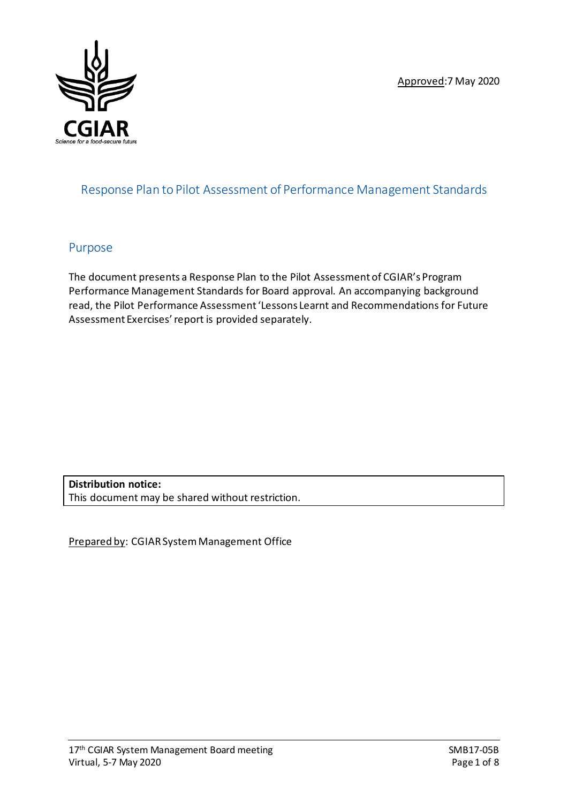Approved:7 May 2020



## Response Plan to Pilot Assessment of Performance Management Standards

## Purpose

The document presents a Response Plan to the Pilot Assessment of CGIAR's Program Performance Management Standards for Board approval. An accompanying background read, the Pilot Performance Assessment 'Lessons Learnt and Recommendations for Future Assessment Exercises'report is provided separately.

**Distribution notice:** This document may be shared without restriction.

Prepared by: CGIAR System Management Office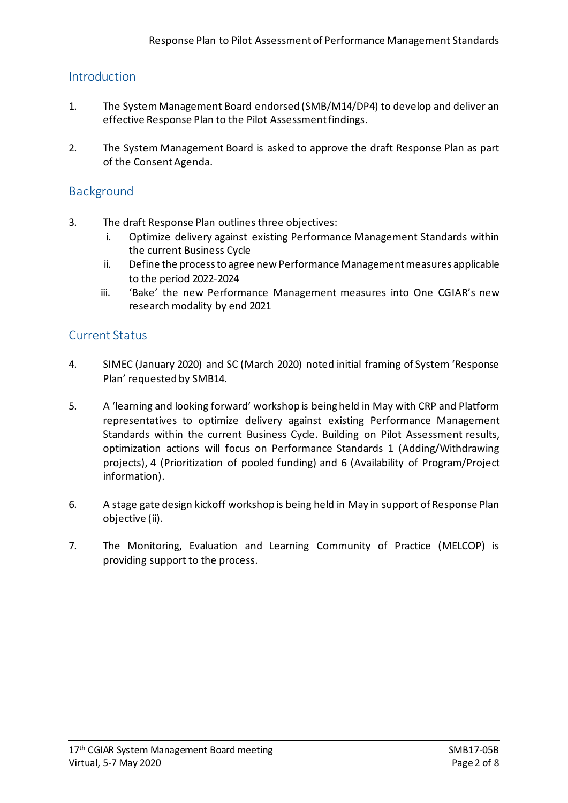## Introduction

- 1. The SystemManagement Board endorsed (SMB/M14/DP4) to develop and deliver an effective Response Plan to the Pilot Assessment findings.
- 2. The System Management Board is asked to approve the draft Response Plan as part of the Consent Agenda.

## **Background**

- 3. The draft Response Plan outlines three objectives:
	- i. Optimize delivery against existing Performance Management Standards within the current Business Cycle
	- ii. Define the processto agree new Performance Managementmeasures applicable to the period 2022-2024
	- iii. 'Bake' the new Performance Management measures into One CGIAR's new research modality by end 2021

## Current Status

- 4. SIMEC (January 2020) and SC (March 2020) noted initial framing of System 'Response Plan' requested by SMB14.
- 5. A 'learning and looking forward' workshop is beingheld in May with CRP and Platform representatives to optimize delivery against existing Performance Management Standards within the current Business Cycle. Building on Pilot Assessment results, optimization actions will focus on Performance Standards 1 (Adding/Withdrawing projects), 4 (Prioritization of pooled funding) and 6 (Availability of Program/Project information).
- 6. A stage gate design kickoff workshop is being held in May in support of Response Plan objective (ii).
- 7. The Monitoring, Evaluation and Learning Community of Practice (MELCOP) is providing support to the process.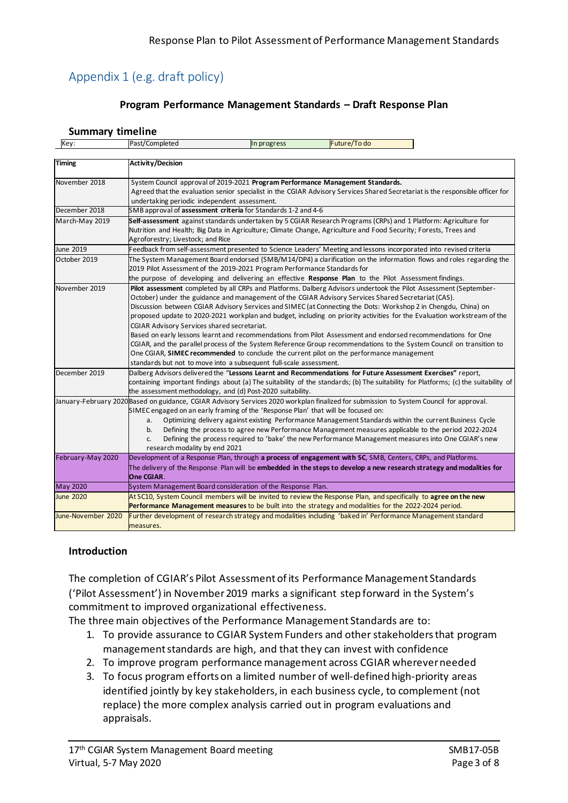# Appendix 1 (e.g. draft policy)

#### **Program Performance Management Standards – Draft Response Plan**

#### **Summary timeline**

| Key:               | Past/Completed<br>Future/To do<br>In progress                                                                                                                                                                                                                                                                                                                                                                                                                                                                                                                                                                                                                                                                                                                                                                                                                                                                                  |  |  |  |  |  |  |
|--------------------|--------------------------------------------------------------------------------------------------------------------------------------------------------------------------------------------------------------------------------------------------------------------------------------------------------------------------------------------------------------------------------------------------------------------------------------------------------------------------------------------------------------------------------------------------------------------------------------------------------------------------------------------------------------------------------------------------------------------------------------------------------------------------------------------------------------------------------------------------------------------------------------------------------------------------------|--|--|--|--|--|--|
|                    |                                                                                                                                                                                                                                                                                                                                                                                                                                                                                                                                                                                                                                                                                                                                                                                                                                                                                                                                |  |  |  |  |  |  |
| <b>Timing</b>      | <b>Activity/Decision</b>                                                                                                                                                                                                                                                                                                                                                                                                                                                                                                                                                                                                                                                                                                                                                                                                                                                                                                       |  |  |  |  |  |  |
| November 2018      | System Council approval of 2019-2021 Program Performance Management Standards.<br>Agreed that the evaluation senior specialist in the CGIAR Advisory Services Shared Secretariat is the responsible officer for<br>undertaking periodic independent assessment.                                                                                                                                                                                                                                                                                                                                                                                                                                                                                                                                                                                                                                                                |  |  |  |  |  |  |
| December 2018      | SMB approval of assessment criteria for Standards 1-2 and 4-6                                                                                                                                                                                                                                                                                                                                                                                                                                                                                                                                                                                                                                                                                                                                                                                                                                                                  |  |  |  |  |  |  |
| March-May 2019     | Self-assessment against standards undertaken by 5 CGIAR Research Programs (CRPs) and 1 Platform: Agriculture for<br>Nutrition and Health; Big Data in Agriculture; Climate Change, Agriculture and Food Security; Forests, Trees and<br>Agroforestry; Livestock; and Rice                                                                                                                                                                                                                                                                                                                                                                                                                                                                                                                                                                                                                                                      |  |  |  |  |  |  |
| June 2019          | Feedback from self-assessment presented to Science Leaders' Meeting and lessons incorporated into revised criteria                                                                                                                                                                                                                                                                                                                                                                                                                                                                                                                                                                                                                                                                                                                                                                                                             |  |  |  |  |  |  |
| October 2019       | The System Management Board endorsed (SMB/M14/DP4) a clarification on the information flows and roles regarding the<br>2019 Pilot Assessment of the 2019-2021 Program Performance Standards for<br>the purpose of developing and delivering an effective Response Plan to the Pilot Assessment findings.                                                                                                                                                                                                                                                                                                                                                                                                                                                                                                                                                                                                                       |  |  |  |  |  |  |
| November 2019      | Pilot assessment completed by all CRPs and Platforms. Dalberg Advisors undertook the Pilot Assessment (September-<br>October) under the guidance and management of the CGIAR Advisory Services Shared Secretariat (CAS).<br>Discussion between CGIAR Advisory Services and SIMEC (at Connecting the Dots: Workshop 2 in Chengdu, China) on<br>proposed update to 2020-2021 workplan and budget, including on priority activities for the Evaluation workstream of the<br>CGIAR Advisory Services shared secretariat.<br>Based on early lessons learnt and recommendations from Pilot Assessment and endorsed recommendations for One<br>CGIAR, and the parallel process of the System Reference Group recommendations to the System Council on transition to<br>One CGIAR, SIMEC recommended to conclude the current pilot on the performance management<br>standards but not to move into a subsequent full-scale assessment. |  |  |  |  |  |  |
| December 2019      | Dalberg Advisors delivered the "Lessons Learnt and Recommendations for Future Assessment Exercises" report,<br>containing important findings about (a) The suitability of the standards; (b) The suitability for Platforms; (c) the suitability of<br>the assessment methodology, and (d) Post-2020 suitability.                                                                                                                                                                                                                                                                                                                                                                                                                                                                                                                                                                                                               |  |  |  |  |  |  |
|                    | January-February 2020 Based on guidance, CGIAR Advisory Services 2020 workplan finalized for submission to System Council for approval.<br>SIMEC engaged on an early framing of the 'Response Plan' that will be focused on:<br>Optimizing delivery against existing Performance Management Standards within the current Business Cycle<br>а.<br>Defining the process to agree new Performance Management measures applicable to the period 2022-2024<br>b.<br>Defining the process required to 'bake' the new Performance Management measures into One CGIAR's new<br>c.<br>research modality by end 2021                                                                                                                                                                                                                                                                                                                     |  |  |  |  |  |  |
| February-May 2020  | Development of a Response Plan, through a process of engagement with SC, SMB, Centers, CRPs, and Platforms.<br>The delivery of the Response Plan will be embedded in the steps to develop a new research strategy and modalities for<br>One CGIAR.                                                                                                                                                                                                                                                                                                                                                                                                                                                                                                                                                                                                                                                                             |  |  |  |  |  |  |
| <b>May 2020</b>    | System Management Board consideration of the Response Plan.                                                                                                                                                                                                                                                                                                                                                                                                                                                                                                                                                                                                                                                                                                                                                                                                                                                                    |  |  |  |  |  |  |
| <b>June 2020</b>   | At SC10, System Council members will be invited to review the Response Plan, and specifically to agree on the new<br>Performance Management measures to be built into the strategy and modalities for the 2022-2024 period.                                                                                                                                                                                                                                                                                                                                                                                                                                                                                                                                                                                                                                                                                                    |  |  |  |  |  |  |
| June-November 2020 | Further development of research strategy and modalities including 'baked in' Performance Management standard<br>measures.                                                                                                                                                                                                                                                                                                                                                                                                                                                                                                                                                                                                                                                                                                                                                                                                      |  |  |  |  |  |  |

#### **Introduction**

The completion of CGIAR's Pilot Assessment of its Performance Management Standards ('Pilot Assessment') in November 2019 marks a significant step forward in the System's commitment to improved organizational effectiveness.

The three main objectives of the Performance Management Standards are to:

- 1. To provide assurance to CGIAR System Funders and other stakeholders that program management standards are high, and that they can invest with confidence
- 2. To improve program performance management across CGIAR wherever needed
- 3. To focus program efforts on a limited number of well-defined high-priority areas identified jointly by key stakeholders, in each business cycle, to complement (not replace) the more complex analysis carried out in program evaluations and appraisals.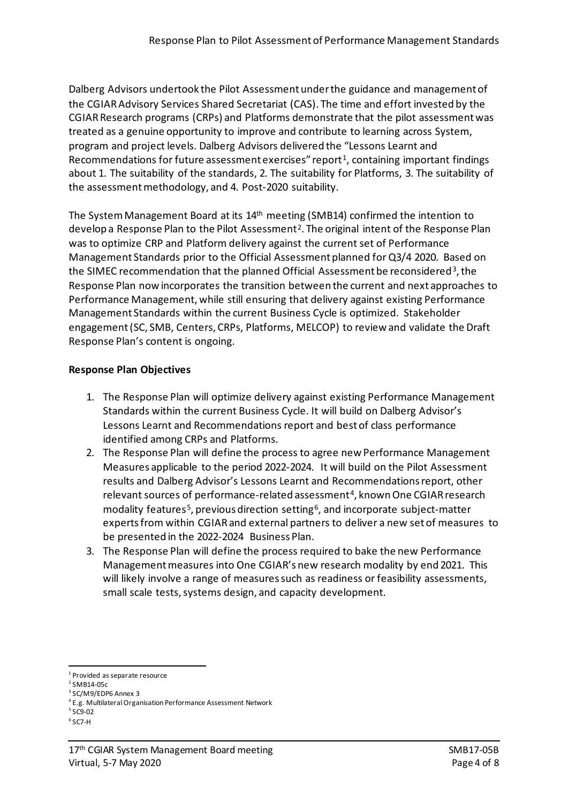Dalberg Advisors undertook the Pilot Assessment under the guidance and management of the CGIAR Advisory Services Shared Secretariat (CAS). The time and effort invested by the CGIAR Research programs (CRPs) and Platforms demonstrate that the pilot assessment was treated as a genuine opportunity to improve and contribute to learning across System, program and project levels. Dalberg Advisors delivered the "Lessons Learnt and Recommendations for future assessment exercises" report<sup>[1](#page-3-0)</sup>, containing important findings about 1. The suitability of the standards, 2. The suitability for Platforms, 3. The suitability of the assessment methodology, and 4. Post-2020 suitability.

The System Management Board at its 14th meeting (SMB14) confirmed the intention to develop a Response Plan to the Pilot Assessment<sup>[2](#page-3-1)</sup>. The original intent of the Response Plan was to optimize CRP and Platform delivery against the current set of Performance Management Standards prior to the Official Assessment planned for Q3/4 2020. Based on the SIMEC recommendation that the planned Official Assessment be reconsidered<sup>[3](#page-3-2)</sup>, the Response Plan now incorporates the transition between the current and next approaches to Performance Management, while still ensuring that delivery against existing Performance Management Standards within the current Business Cycle is optimized. Stakeholder engagement (SC, SMB, Centers, CRPs, Platforms, MELCOP) to review and validate the Draft Response Plan's content is ongoing.

### **Response Plan Objectives**

- 1. The Response Plan will optimize delivery against existing Performance Management Standards within the current Business Cycle. It will build on Dalberg Advisor's Lessons Learnt and Recommendations report and best of class performance identified among CRPs and Platforms.
- 2. The Response Plan will define the process to agree new Performance Management Measures applicable to the period 2022-2024. It will build on the Pilot Assessment results and Dalberg Advisor's Lessons Learnt and Recommendations report, other relevant sources of performance-related assessment<sup>[4](#page-3-3)</sup>, known One CGIAR research modality features<sup>[5](#page-3-4)</sup>, previous direction setting<sup>[6](#page-3-5)</sup>, and incorporate subject-matter experts from within CGIAR and external partners to deliver a new set of measures to be presented in the 2022-2024 Business Plan.
- 3. The Response Plan will define the process required to bake the new Performance Management measures into One CGIAR's new research modality by end 2021. This will likely involve a range of measures such as readiness or feasibility assessments, small scale tests, systems design, and capacity development.

<span id="page-3-0"></span><sup>&</sup>lt;sup>1</sup> Provided as separate resource

<span id="page-3-1"></span> $2$  SMB14-05c

<span id="page-3-2"></span><sup>3</sup> SC/M9/EDP6 Annex 3

<sup>&</sup>lt;sup>4</sup> E.g. Multilateral Organisation Performance Assessment Network

<span id="page-3-4"></span><span id="page-3-3"></span><sup>5</sup> SC9-02

<span id="page-3-5"></span><sup>6</sup> SC7-H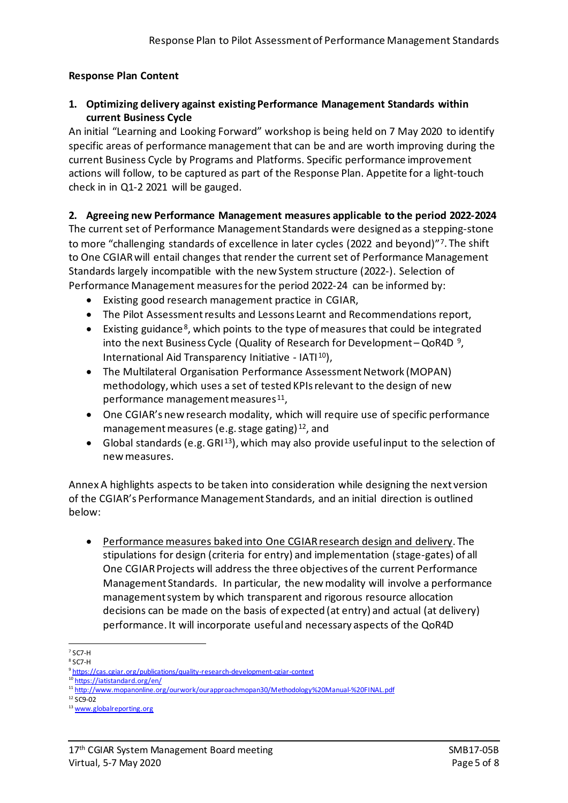## **Response Plan Content**

#### **1. Optimizing delivery against existing Performance Management Standards within current Business Cycle**

An initial "Learning and Looking Forward" workshop is being held on 7 May 2020 to identify specific areas of performance management that can be and are worth improving during the current Business Cycle by Programs and Platforms. Specific performance improvement actions will follow, to be captured as part of the Response Plan. Appetite for a light-touch check in in Q1-2 2021 will be gauged.

### **2. Agreeing new Performance Management measures applicable to the period 2022-2024**

The current set of Performance Management Standards were designed as a stepping-stone to more "challenging standards of excellence in later cycles (2022 and beyond)"[7](#page-4-0) . The shift to One CGIAR will entail changes that render the current set of Performance Management Standards largely incompatible with the new System structure (2022-). Selection of Performance Management measures for the period 2022-24 can be informed by:

- Existing good research management practice in CGIAR,
- The Pilot Assessment results and Lessons Learnt and Recommendations report,
- Existing guidance<sup>[8](#page-4-1)</sup>, which points to the type of measures that could be integrated into the next Business Cycle (Quality of Research for Development – QoR4D<sup>[9](#page-4-2)</sup>, International Aid Transparency Initiative - IATI<sup>[10](#page-4-3)</sup>),
- The Multilateral Organisation Performance Assessment Network (MOPAN) methodology, which uses a set of tested KPIs relevant to the design of new performance management measures<sup>[11](#page-4-4)</sup>,
- One CGIAR's new research modality, which will require use of specific performance management measures (e.g. stage gating) [12](#page-4-5), and
- Global standards (e.g. GRI<sup>[13](#page-4-6)</sup>), which may also provide useful input to the selection of new measures.

Annex A highlights aspects to be taken into consideration while designing the next version of the CGIAR's Performance Management Standards, and an initial direction is outlined below:

• Performance measures baked into One CGIAR research design and delivery. The stipulations for design (criteria for entry) and implementation (stage-gates) of all One CGIAR Projects will address the three objectives of the current Performance Management Standards. In particular, the new modality will involve a performance management system by which transparent and rigorous resource allocation decisions can be made on the basis of expected (at entry) and actual (at delivery) performance. It will incorporate useful and necessary aspects of the QoR4D

<span id="page-4-0"></span> $7$  SC7-H

<span id="page-4-1"></span><sup>8</sup> SC7-H

<sup>&</sup>lt;sup>9</sup> <https://cas.cgiar.org/publications/quality-research-development-cgiar-context>

<span id="page-4-3"></span><span id="page-4-2"></span><sup>10</sup> <https://iatistandard.org/en/>

<sup>11</sup> <http://www.mopanonline.org/ourwork/ourapproachmopan30/Methodology%20Manual-%20FINAL.pdf>

<span id="page-4-5"></span><span id="page-4-4"></span><sup>12</sup> SC9-02

<span id="page-4-6"></span><sup>13</sup> [www.globalreporting.org](http://www.globalreporting.org/)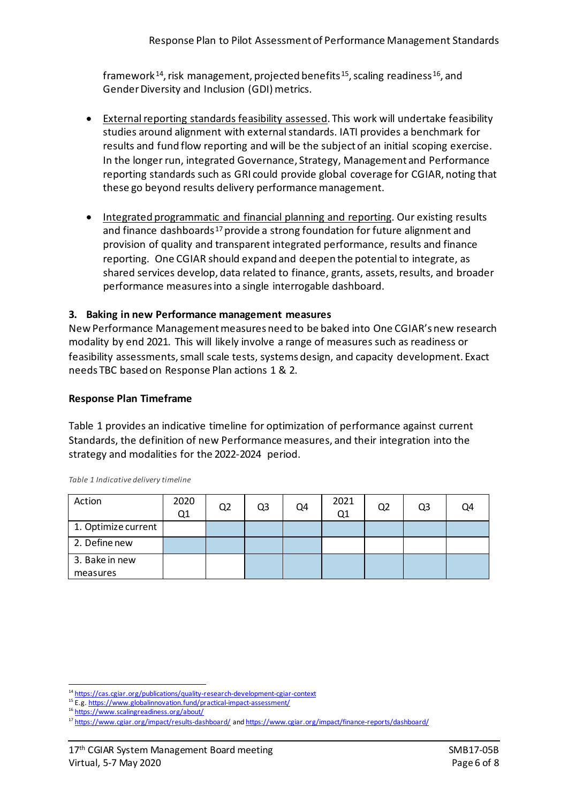framework<sup>[14](#page-5-0)</sup>, risk management, projected benefits<sup>[15](#page-5-1)</sup>, scaling readiness<sup>[16](#page-5-2)</sup>, and Gender Diversity and Inclusion (GDI) metrics.

- External reporting standards feasibility assessed. This work will undertake feasibility studies around alignment with external standards. IATI provides a benchmark for results and fund flow reporting and will be the subject of an initial scoping exercise. In the longer run, integrated Governance, Strategy, Management and Performance reporting standards such as GRI could provide global coverage for CGIAR, noting that these go beyond results delivery performance management.
- Integrated programmatic and financial planning and reporting. Our existing results and finance dashboards<sup>[17](#page-5-3)</sup> provide a strong foundation for future alignment and provision of quality and transparent integrated performance, results and finance reporting. One CGIAR should expand and deepen the potential to integrate, as shared services develop, data related to finance, grants, assets, results, and broader performance measures into a single interrogable dashboard.

#### **3. Baking in new Performance management measures**

New Performance Management measures need to be baked into One CGIAR's new research modality by end 2021. This will likely involve a range of measures such as readiness or feasibility assessments, small scale tests, systems design, and capacity development. Exact needs TBC based on Response Plan actions 1 & 2.

#### **Response Plan Timeframe**

Table 1 provides an indicative timeline for optimization of performance against current Standards, the definition of new Performance measures, and their integration into the strategy and modalities for the 2022-2024 period.

| Action              | 2020<br>Q1 | Q <sub>2</sub> | Q3 | Q4 | 2021<br>Q1 | Q2 | Q3 | Q4 |
|---------------------|------------|----------------|----|----|------------|----|----|----|
| 1. Optimize current |            |                |    |    |            |    |    |    |
| 2. Define new       |            |                |    |    |            |    |    |    |
| 3. Bake in new      |            |                |    |    |            |    |    |    |
| measures            |            |                |    |    |            |    |    |    |

*Table 1 Indicative delivery timeline* 

<span id="page-5-0"></span><sup>&</sup>lt;sup>14</sup> https://cas.cgiar.org/publications/quality-research-development-cgiar-context

<span id="page-5-1"></span><sup>&</sup>lt;sup>15</sup> E.g. <https://www.globalinnovation.fund/practical-impact-assessment/>

<sup>16</sup> <https://www.scalingreadiness.org/about/>

<span id="page-5-3"></span><span id="page-5-2"></span><sup>17</sup> <https://www.cgiar.org/impact/results-dashboard/> and <https://www.cgiar.org/impact/finance-reports/dashboard/>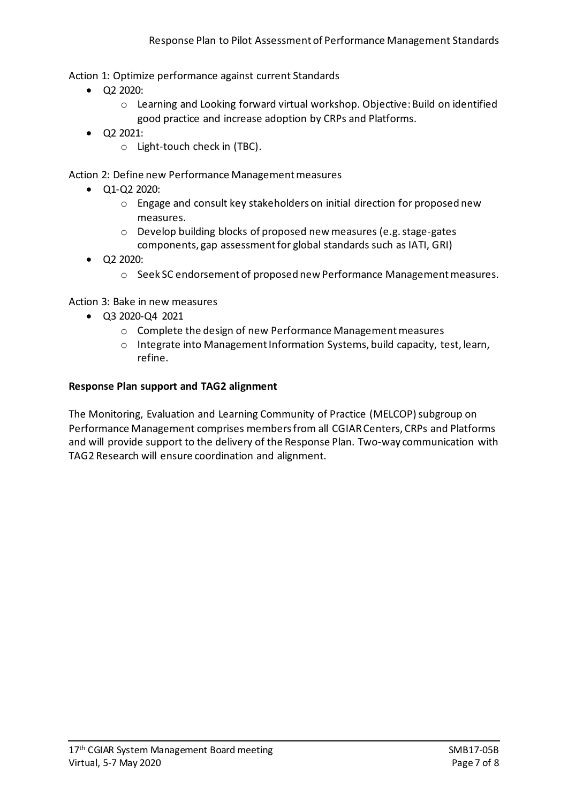Action 1: Optimize performance against current Standards

- Q2 2020:
	- o Learning and Looking forward virtual workshop. Objective: Build on identified good practice and increase adoption by CRPs and Platforms.
- Q2 2021:
	- o Light-touch check in (TBC).

Action 2: Define new Performance Management measures

- Q1-Q2 2020:
	- o Engage and consult key stakeholders on initial direction for proposed new measures.
	- o Develop building blocks of proposed new measures (e.g. stage-gates components, gap assessment for global standards such as IATI, GRI)
- Q2 2020:
	- o Seek SC endorsement of proposed new Performance Management measures.

Action 3: Bake in new measures

- Q3 2020-Q4 2021
	- o Complete the design of new Performance Management measures
	- o Integrate into Management Information Systems, build capacity, test, learn, refine.

#### **Response Plan support and TAG2 alignment**

The Monitoring, Evaluation and Learning Community of Practice (MELCOP) subgroup on Performance Management comprises members from all CGIAR Centers, CRPs and Platforms and will provide support to the delivery of the Response Plan. Two-way communication with TAG2 Research will ensure coordination and alignment.